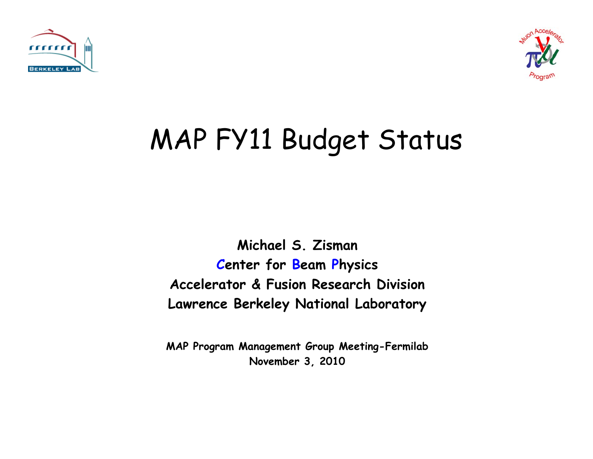



### MAP FY11 Budget Status

**Michael S. Zisman Center for Beam Physics Accelerator & Fusion Research Division Lawrence Berkeley National Laboratory**

**MAP Program Management Group Meeting-Fermilab November 3, 2010**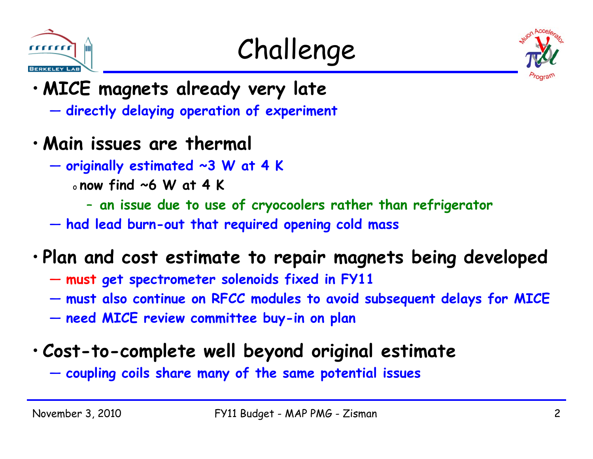





- **MICE magnets already very late**
	- **directly delaying operation of experiment**
- **Main issues are thermal**
	- **originally estimated ~3 W at 4 K**
		- o **now find ~6 W at 4 K**
			- **an issue due to use of cryocoolers rather than refrigerator**
	- **had lead burn-out that required opening cold mass**

#### • **Plan and cost estimate to repair magnets being developed**

- **must get spectrometer solenoids fixed in FY11**
- **must also continue on RFCC modules to avoid subsequent delays for MICE**
- **need MICE review committee buy-in on plan**

#### • **Cost-to-complete well beyond original estimate**

— **coupling coils share many of the same potential issues**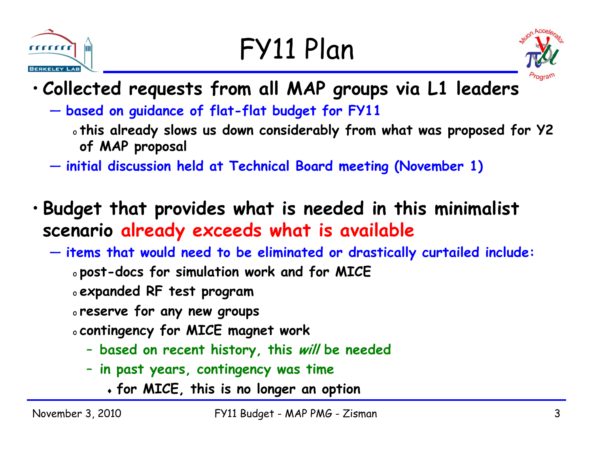## FY11 Plan





- **Collected requests from all MAP groups via L1 leaders**
	- **based on guidance of flat-flat budget for FY11**
		- o **this already slows us down considerably from what was proposed for Y2 of MAP proposal**
	- **initial discussion held at Technical Board meeting (November 1)**
- **Budget that provides what is needed in this minimalist scenario already exceeds what is available**
	- **items that would need to be eliminated or drastically curtailed include:**
		- o **post-docs for simulation work and for MICE**
		- o **expanded RF test program**
		- o **reserve for any new groups**
		- o **contingency for MICE magnet work**
			- **based on recent history, this will be needed**
			- **in past years, contingency was time**
				- **for MICE, this is no longer an option**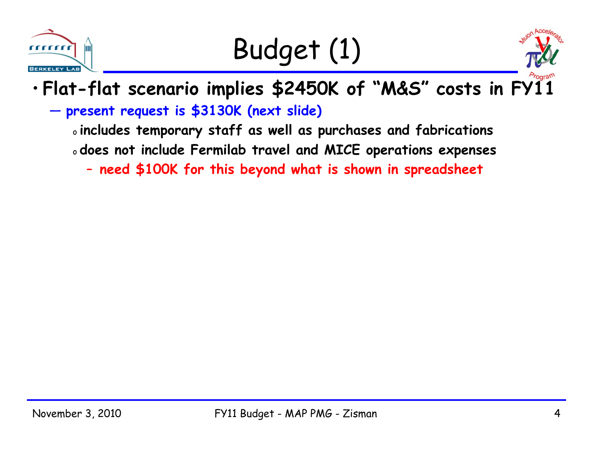

Budget (1)



#### •**Flat-flat scenario implies \$2450K of "M&S" costs in FY11**

**present request is \$3130K (next slide)**

o **includes temporary staff as well as purchases and fabrications**

o **does not include Fermilab travel and MICE operations expenses**

–**need \$100K for this beyond what is shown in spreadsheet**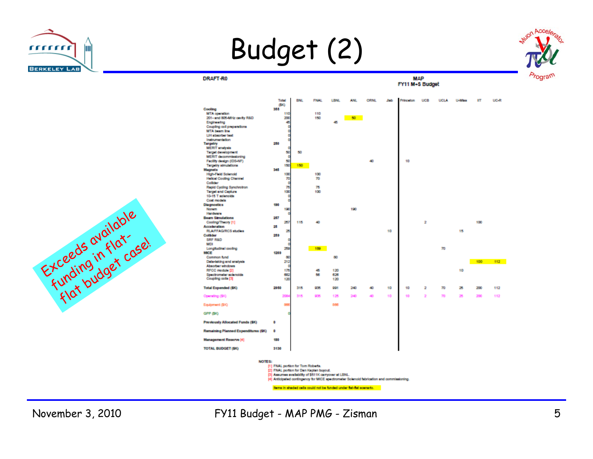

Budget (2)

DRAFT-R0



**MAP** FY11 M+S Budget





November 3, 2010 FY11 Budget - MAP PMG - Zisman 5